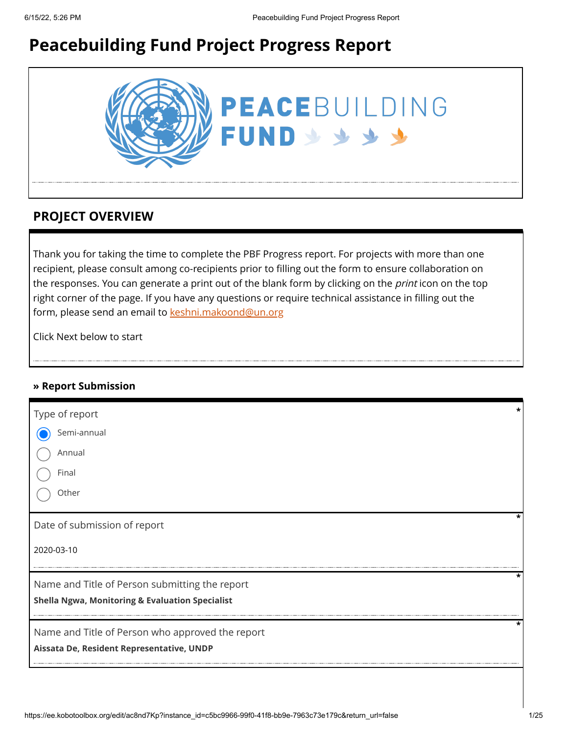# **Peacebuilding Fund Project Progress Report**



### **PROJECT OVERVIEW**

Thank you for taking the time to complete the PBF Progress report. For projects with more than one recipient, please consult among co-recipients prior to filling out the form to ensure collaboration on the responses. You can generate a print out of the blank form by clicking on the *print* icon on the top right corner of the page. If you have any questions or require technical assistance in filling out the form, please send an email to [keshni.makoond@un.org](https://ee.kobotoolbox.org/edit/keshni.makoond@un.org)

Click Next below to start

#### **» Report Submission**

| Type of report                                             |   |
|------------------------------------------------------------|---|
| Semi-annual                                                |   |
| Annual                                                     |   |
| Final                                                      |   |
| Other                                                      |   |
| Date of submission of report                               |   |
| 2020-03-10                                                 |   |
| Name and Title of Person submitting the report             | * |
| <b>Shella Ngwa, Monitoring &amp; Evaluation Specialist</b> |   |
| Name and Title of Person who approved the report           | * |
| Aissata De, Resident Representative, UNDP                  |   |
|                                                            |   |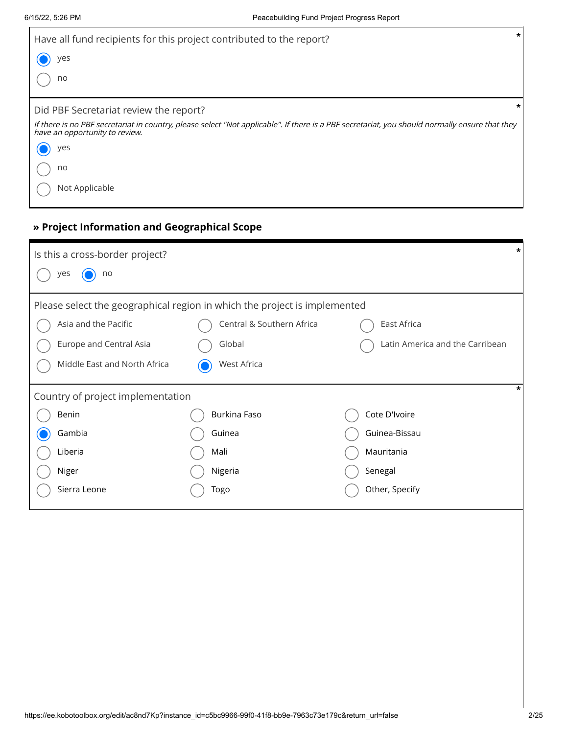| Have all fund recipients for this project contributed to the report?                                                                                                             | $\star$ |
|----------------------------------------------------------------------------------------------------------------------------------------------------------------------------------|---------|
| yes                                                                                                                                                                              |         |
| no                                                                                                                                                                               |         |
| Did PBF Secretariat review the report?                                                                                                                                           |         |
| If there is no PBF secretariat in country, please select "Not applicable". If there is a PBF secretariat, you should normally ensure that they<br>have an opportunity to review. |         |
| yes                                                                                                                                                                              |         |
| no                                                                                                                                                                               |         |
| Not Applicable                                                                                                                                                                   |         |

### **» Project Information and Geographical Scope**

| Is this a cross-border project?                                           |                           |                                 | * |  |
|---------------------------------------------------------------------------|---------------------------|---------------------------------|---|--|
| no<br>yes                                                                 |                           |                                 |   |  |
| Please select the geographical region in which the project is implemented |                           |                                 |   |  |
| Asia and the Pacific                                                      | Central & Southern Africa | East Africa                     |   |  |
| Europe and Central Asia                                                   | Global                    | Latin America and the Carribean |   |  |
| Middle East and North Africa                                              | West Africa               |                                 |   |  |
| Country of project implementation                                         |                           |                                 | * |  |
| Benin                                                                     | Burkina Faso              | Cote D'Ivoire                   |   |  |
| Gambia                                                                    | Guinea                    | Guinea-Bissau                   |   |  |
| Liberia                                                                   | Mali                      | Mauritania                      |   |  |
| Niger                                                                     | Nigeria                   | Senegal                         |   |  |
| Sierra Leone                                                              | Togo                      | Other, Specify                  |   |  |
|                                                                           |                           |                                 |   |  |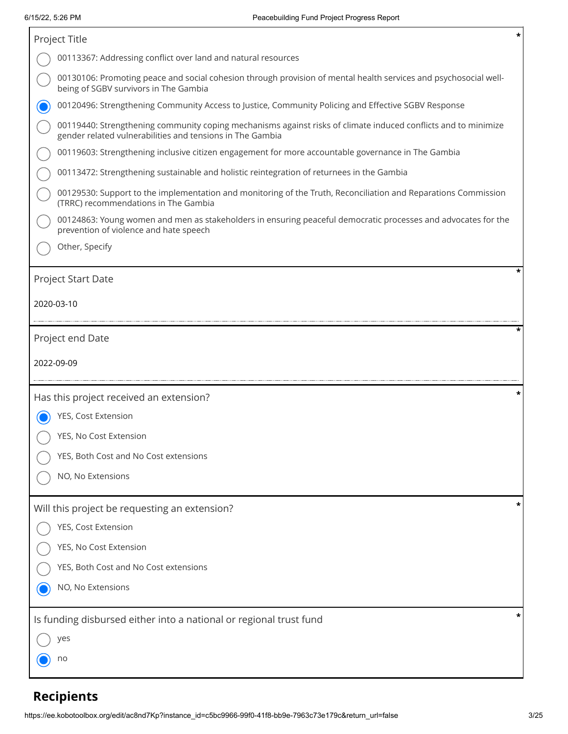| Project Title                                                                                                                                                               | * |
|-----------------------------------------------------------------------------------------------------------------------------------------------------------------------------|---|
| 00113367: Addressing conflict over land and natural resources                                                                                                               |   |
| 00130106: Promoting peace and social cohesion through provision of mental health services and psychosocial well-<br>being of SGBV survivors in The Gambia                   |   |
| 00120496: Strengthening Community Access to Justice, Community Policing and Effective SGBV Response                                                                         |   |
| 00119440: Strengthening community coping mechanisms against risks of climate induced conflicts and to minimize<br>gender related vulnerabilities and tensions in The Gambia |   |
| 00119603: Strengthening inclusive citizen engagement for more accountable governance in The Gambia                                                                          |   |
| 00113472: Strengthening sustainable and holistic reintegration of returnees in the Gambia                                                                                   |   |
| 00129530: Support to the implementation and monitoring of the Truth, Reconciliation and Reparations Commission<br>(TRRC) recommendations in The Gambia                      |   |
| 00124863: Young women and men as stakeholders in ensuring peaceful democratic processes and advocates for the<br>prevention of violence and hate speech                     |   |
| Other, Specify                                                                                                                                                              |   |
| Project Start Date<br>2020-03-10                                                                                                                                            |   |
| Project end Date                                                                                                                                                            |   |
|                                                                                                                                                                             |   |
| 2022-09-09                                                                                                                                                                  |   |
| Has this project received an extension?                                                                                                                                     | * |
| YES, Cost Extension                                                                                                                                                         |   |
| YES, No Cost Extension                                                                                                                                                      |   |
| YES, Both Cost and No Cost extensions                                                                                                                                       |   |
| NO, No Extensions                                                                                                                                                           |   |
| Will this project be requesting an extension?                                                                                                                               |   |
| YES, Cost Extension                                                                                                                                                         |   |
| YES, No Cost Extension                                                                                                                                                      |   |
| YES, Both Cost and No Cost extensions                                                                                                                                       |   |
| NO, No Extensions                                                                                                                                                           |   |
| Is funding disbursed either into a national or regional trust fund                                                                                                          |   |
| yes                                                                                                                                                                         |   |

# **Recipients**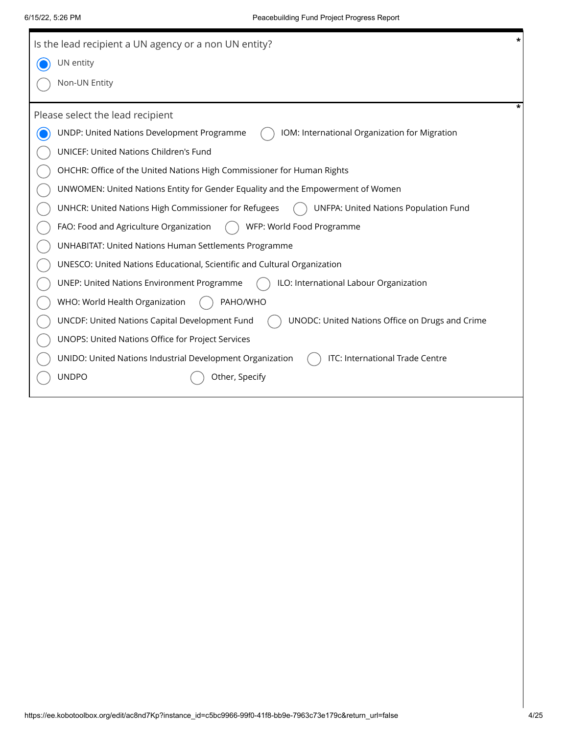|               | *<br>Is the lead recipient a UN agency or a non UN entity?                                        |
|---------------|---------------------------------------------------------------------------------------------------|
| UN entity     |                                                                                                   |
| Non-UN Entity |                                                                                                   |
|               | *<br>Please select the lead recipient                                                             |
|               | UNDP: United Nations Development Programme<br>IOM: International Organization for Migration       |
|               | UNICEF: United Nations Children's Fund                                                            |
|               | OHCHR: Office of the United Nations High Commissioner for Human Rights                            |
|               | UNWOMEN: United Nations Entity for Gender Equality and the Empowerment of Women                   |
|               | UNHCR: United Nations High Commissioner for Refugees<br>UNFPA: United Nations Population Fund     |
|               | FAO: Food and Agriculture Organization<br>WFP: World Food Programme                               |
|               | <b>UNHABITAT: United Nations Human Settlements Programme</b>                                      |
|               | UNESCO: United Nations Educational, Scientific and Cultural Organization                          |
|               | ILO: International Labour Organization<br><b>UNEP: United Nations Environment Programme</b>       |
|               | WHO: World Health Organization<br>PAHO/WHO                                                        |
|               | UNCDF: United Nations Capital Development Fund<br>UNODC: United Nations Office on Drugs and Crime |
|               | UNOPS: United Nations Office for Project Services                                                 |
|               | ITC: International Trade Centre<br>UNIDO: United Nations Industrial Development Organization      |
| <b>UNDPO</b>  | Other, Specify                                                                                    |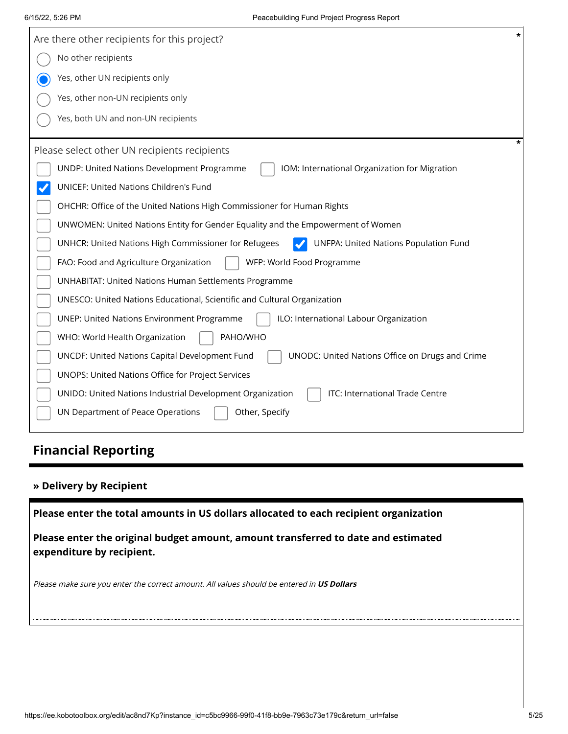| $\star$<br>Are there other recipients for this project?                                                  |
|----------------------------------------------------------------------------------------------------------|
| No other recipients                                                                                      |
| Yes, other UN recipients only                                                                            |
| Yes, other non-UN recipients only                                                                        |
| Yes, both UN and non-UN recipients                                                                       |
| Please select other UN recipients recipients                                                             |
| UNDP: United Nations Development Programme<br>IOM: International Organization for Migration              |
| UNICEF: United Nations Children's Fund                                                                   |
| OHCHR: Office of the United Nations High Commissioner for Human Rights                                   |
| UNWOMEN: United Nations Entity for Gender Equality and the Empowerment of Women                          |
| <b>UNFPA: United Nations Population Fund</b><br>UNHCR: United Nations High Commissioner for Refugees     |
| FAO: Food and Agriculture Organization<br>WFP: World Food Programme                                      |
| <b>UNHABITAT: United Nations Human Settlements Programme</b>                                             |
| UNESCO: United Nations Educational, Scientific and Cultural Organization                                 |
| ILO: International Labour Organization<br><b>UNEP: United Nations Environment Programme</b>              |
| PAHO/WHO<br>WHO: World Health Organization                                                               |
| <b>UNCDF: United Nations Capital Development Fund</b><br>UNODC: United Nations Office on Drugs and Crime |
| UNOPS: United Nations Office for Project Services                                                        |
| ITC: International Trade Centre<br>UNIDO: United Nations Industrial Development Organization             |
| UN Department of Peace Operations<br>Other, Specify                                                      |

# **Financial Reporting**

#### **» Delivery by Recipient**

**Please enter the total amounts in US dollars allocated to each recipient organization**

**Please enter the original budget amount, amount transferred to date and estimated expenditure by recipient.**

Please make sure you enter the correct amount. All values should be entered in **US Dollars**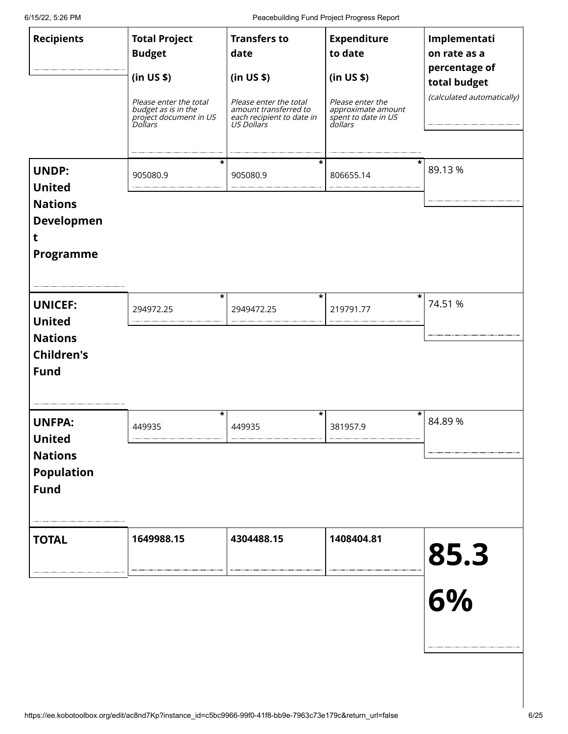6/15/22, 5:26 PM Peacebuilding Fund Project Progress Report

| <b>Recipients</b><br><b>UNDP:</b><br><b>United</b>                                    | <b>Total Project</b><br><b>Budget</b><br>(in US \$)<br>Please enter the total<br>budget as is in the wide<br>project document in US<br>Dollars<br>*<br>905080.9 | <b>Transfers to</b><br>date<br>(in US \$)<br>Please enter the total<br>amount transferred to<br>each recipient to date in<br>US Dollars<br>*<br>905080.9 | <b>Expenditure</b><br>to date<br>(in US \$)<br>Please enter the<br><i>Approximate amount</i><br>spent to date in US<br>dollars<br>806655.14 | Implementati<br>on rate as a<br>percentage of<br>total budget<br>(calculated automatically)<br>89.13% |
|---------------------------------------------------------------------------------------|-----------------------------------------------------------------------------------------------------------------------------------------------------------------|----------------------------------------------------------------------------------------------------------------------------------------------------------|---------------------------------------------------------------------------------------------------------------------------------------------|-------------------------------------------------------------------------------------------------------|
| <b>Nations</b><br><b>Developmen</b><br>t<br>Programme                                 | *                                                                                                                                                               | *                                                                                                                                                        | *                                                                                                                                           |                                                                                                       |
| <b>UNICEF:</b><br><b>United</b><br><b>Nations</b><br><b>Children's</b><br><b>Fund</b> | 294972.25                                                                                                                                                       | 2949472.25                                                                                                                                               | 219791.77                                                                                                                                   | 74.51 %                                                                                               |
| <b>UNFPA:</b><br><b>United</b><br><b>Nations</b><br><b>Population</b><br><b>Fund</b>  | *<br>449935                                                                                                                                                     | *<br>449935                                                                                                                                              | *<br>381957.9                                                                                                                               | 84.89%                                                                                                |
| <b>TOTAL</b>                                                                          | 1649988.15                                                                                                                                                      | 4304488.15                                                                                                                                               | 1408404.81                                                                                                                                  | 85.3<br>6%                                                                                            |
|                                                                                       |                                                                                                                                                                 |                                                                                                                                                          |                                                                                                                                             |                                                                                                       |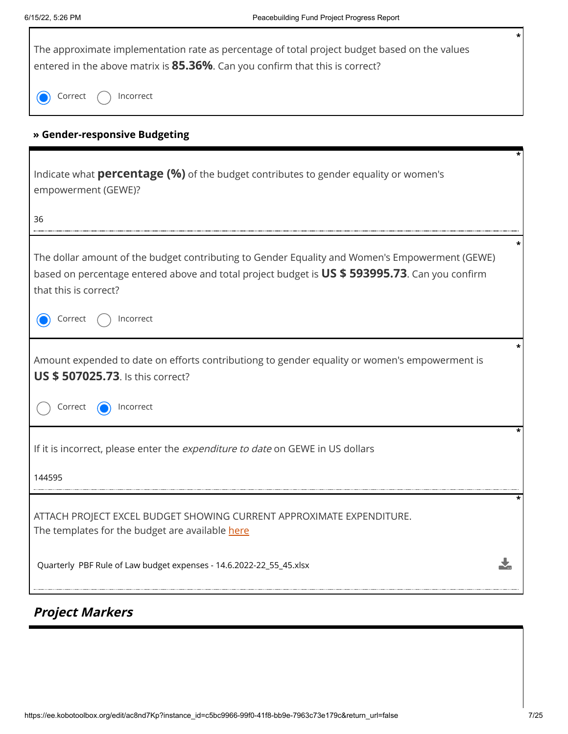Г

| *<br>The approximate implementation rate as percentage of total project budget based on the values<br>entered in the above matrix is 85.36%. Can you confirm that this is correct?                                        |
|---------------------------------------------------------------------------------------------------------------------------------------------------------------------------------------------------------------------------|
| Incorrect<br>Correct                                                                                                                                                                                                      |
| » Gender-responsive Budgeting                                                                                                                                                                                             |
| Indicate what <b>percentage (%)</b> of the budget contributes to gender equality or women's<br>empowerment (GEWE)?                                                                                                        |
| 36                                                                                                                                                                                                                        |
| The dollar amount of the budget contributing to Gender Equality and Women's Empowerment (GEWE)<br>based on percentage entered above and total project budget is US \$ 593995.73. Can you confirm<br>that this is correct? |
| Incorrect<br>Correct                                                                                                                                                                                                      |
| Amount expended to date on efforts contributiong to gender equality or women's empowerment is<br><b>US \$507025.73.</b> Is this correct?                                                                                  |
| Correct<br>Incorrect                                                                                                                                                                                                      |
| *<br>If it is incorrect, please enter the <i>expenditure to date</i> on GEWE in US dollars                                                                                                                                |
| 144595                                                                                                                                                                                                                    |
| ATTACH PROJECT EXCEL BUDGET SHOWING CURRENT APPROXIMATE EXPENDITURE.<br>The templates for the budget are available here                                                                                                   |
| Quarterly PBF Rule of Law budget expenses - 14.6.2022-22_55_45.xlsx                                                                                                                                                       |

# **Project Markers**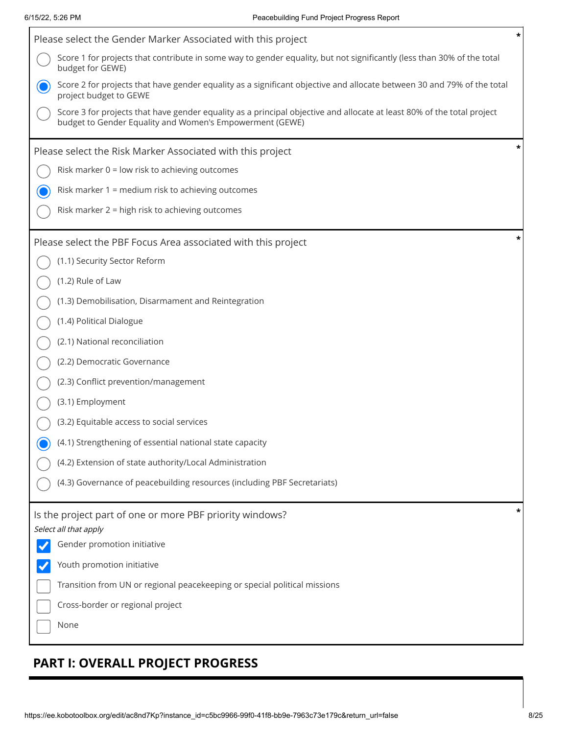| Please select the Gender Marker Associated with this project                                                                                                                       |  |
|------------------------------------------------------------------------------------------------------------------------------------------------------------------------------------|--|
| Score 1 for projects that contribute in some way to gender equality, but not significantly (less than 30% of the total<br>budget for GEWE)                                         |  |
| Score 2 for projects that have gender equality as a significant objective and allocate between 30 and 79% of the total<br>project budget to GEWE                                   |  |
| Score 3 for projects that have gender equality as a principal objective and allocate at least 80% of the total project<br>budget to Gender Equality and Women's Empowerment (GEWE) |  |
| Please select the Risk Marker Associated with this project                                                                                                                         |  |
| Risk marker 0 = low risk to achieving outcomes                                                                                                                                     |  |
| Risk marker 1 = medium risk to achieving outcomes                                                                                                                                  |  |
| Risk marker 2 = high risk to achieving outcomes                                                                                                                                    |  |
| Please select the PBF Focus Area associated with this project                                                                                                                      |  |
| (1.1) Security Sector Reform                                                                                                                                                       |  |
| (1.2) Rule of Law                                                                                                                                                                  |  |
| (1.3) Demobilisation, Disarmament and Reintegration                                                                                                                                |  |
| (1.4) Political Dialogue                                                                                                                                                           |  |
| (2.1) National reconciliation                                                                                                                                                      |  |
| (2.2) Democratic Governance                                                                                                                                                        |  |
| (2.3) Conflict prevention/management                                                                                                                                               |  |
| (3.1) Employment                                                                                                                                                                   |  |
| (3.2) Equitable access to social services                                                                                                                                          |  |
| (4.1) Strengthening of essential national state capacity                                                                                                                           |  |
| (4.2) Extension of state authority/Local Administration                                                                                                                            |  |
| (4.3) Governance of peacebuilding resources (including PBF Secretariats)                                                                                                           |  |
| Is the project part of one or more PBF priority windows?                                                                                                                           |  |
| Select all that apply<br>Gender promotion initiative                                                                                                                               |  |
| Youth promotion initiative                                                                                                                                                         |  |
| Transition from UN or regional peacekeeping or special political missions                                                                                                          |  |
| Cross-border or regional project                                                                                                                                                   |  |
| None                                                                                                                                                                               |  |
|                                                                                                                                                                                    |  |

# **PART I: OVERALL PROJECT PROGRESS**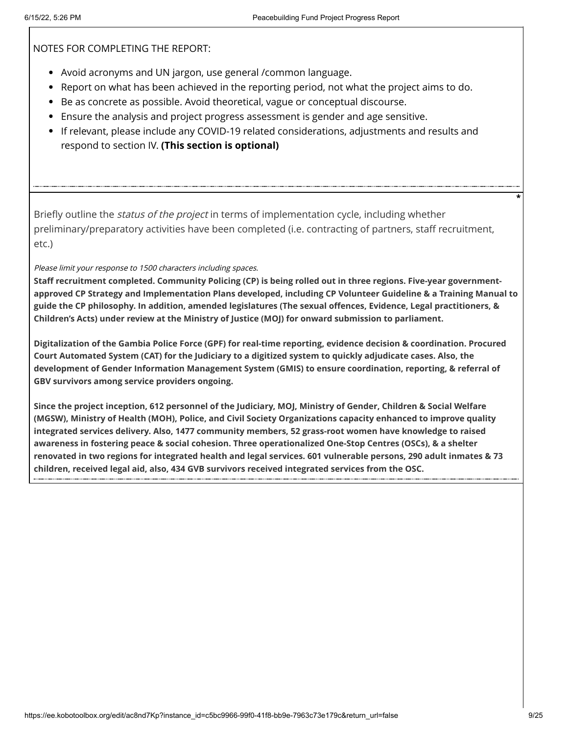NOTES FOR COMPLETING THE REPORT:

- Avoid acronyms and UN jargon, use general /common language.
- Report on what has been achieved in the reporting period, not what the project aims to do.
- Be as concrete as possible. Avoid theoretical, vague or conceptual discourse.
- Ensure the analysis and project progress assessment is gender and age sensitive.
- If relevant, please include any COVID-19 related considerations, adjustments and results and respond to section IV. **(This section is optional)**

Briefly outline the *status of the project* in terms of implementation cycle, including whether preliminary/preparatory activities have been completed (i.e. contracting of partners, staff recruitment, etc.)

Please limit your response to 1500 characters including spaces.

**Staff recruitment completed. Community Policing (CP) is being rolled out in three regions. Five-year governmentapproved CP Strategy and Implementation Plans developed, including CP Volunteer Guideline & a Training Manual to guide the CP philosophy. In addition, amended legislatures (The sexual offences, Evidence, Legal practitioners, & Children's Acts) under review at the Ministry of Justice (MOJ) for onward submission to parliament.** 

**Digitalization of the Gambia Police Force (GPF) for real-time reporting, evidence decision & coordination. Procured Court Automated System (CAT) for the Judiciary to a digitized system to quickly adjudicate cases. Also, the development of Gender Information Management System (GMIS) to ensure coordination, reporting, & referral of GBV survivors among service providers ongoing.**

**Since the project inception, 612 personnel of the Judiciary, MOJ, Ministry of Gender, Children & Social Welfare (MGSW), Ministry of Health (MOH), Police, and Civil Society Organizations capacity enhanced to improve quality integrated services delivery. Also, 1477 community members, 52 grass-root women have knowledge to raised awareness in fostering peace & social cohesion. Three operationalized One-Stop Centres (OSCs), & a shelter renovated in two regions for integrated health and legal services. 601 vulnerable persons, 290 adult inmates & 73 children, received legal aid, also, 434 GVB survivors received integrated services from the OSC.**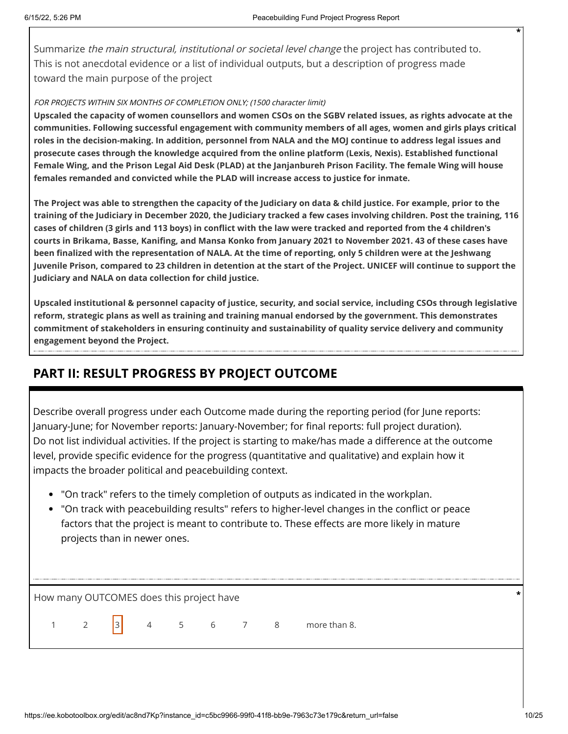Summarize *the main structural, institutional or societal level change* the project has contributed to. This is not anecdotal evidence or a list of individual outputs, but a description of progress made toward the main purpose of the project

#### FOR PROJECTS WITHIN SIX MONTHS OF COMPLETION ONLY; (1500 character limit)

**Upscaled the capacity of women counsellors and women CSOs on the SGBV related issues, as rights advocate at the communities. Following successful engagement with community members of all ages, women and girls plays critical roles in the decision-making. In addition, personnel from NALA and the MOJ continue to address legal issues and prosecute cases through the knowledge acquired from the online platform (Lexis, Nexis). Established functional Female Wing, and the Prison Legal Aid Desk (PLAD) at the Janjanbureh Prison Facility. The female Wing will house females remanded and convicted while the PLAD will increase access to justice for inmate.** 

**The Project was able to strengthen the capacity of the Judiciary on data & child justice. For example, prior to the training of the Judiciary in December 2020, the Judiciary tracked a few cases involving children. Post the training, 116 cases of children (3 girls and 113 boys) in conflict with the law were tracked and reported from the 4 children's courts in Brikama, Basse, Kanifing, and Mansa Konko from January 2021 to November 2021. 43 of these cases have been finalized with the representation of NALA. At the time of reporting, only 5 children were at the Jeshwang Juvenile Prison, compared to 23 children in detention at the start of the Project. UNICEF will continue to support the Judiciary and NALA on data collection for child justice.**

**Upscaled institutional & personnel capacity of justice, security, and social service, including CSOs through legislative reform, strategic plans as well as training and training manual endorsed by the government. This demonstrates commitment of stakeholders in ensuring continuity and sustainability of quality service delivery and community engagement beyond the Project.**

### **PART II: RESULT PROGRESS BY PROJECT OUTCOME**

Describe overall progress under each Outcome made during the reporting period (for June reports: January-June; for November reports: January-November; for final reports: full project duration). Do not list individual activities. If the project is starting to make/has made a difference at the outcome level, provide specific evidence for the progress (quantitative and qualitative) and explain how it impacts the broader political and peacebuilding context.

- "On track" refers to the timely completion of outputs as indicated in the workplan.
- "On track with peacebuilding results" refers to higher-level changes in the conflict or peace factors that the project is meant to contribute to. These effects are more likely in mature projects than in newer ones.

How many OUTCOMES does this project have **\***

1 2  $3$  4 5 6 7 8 more than 8.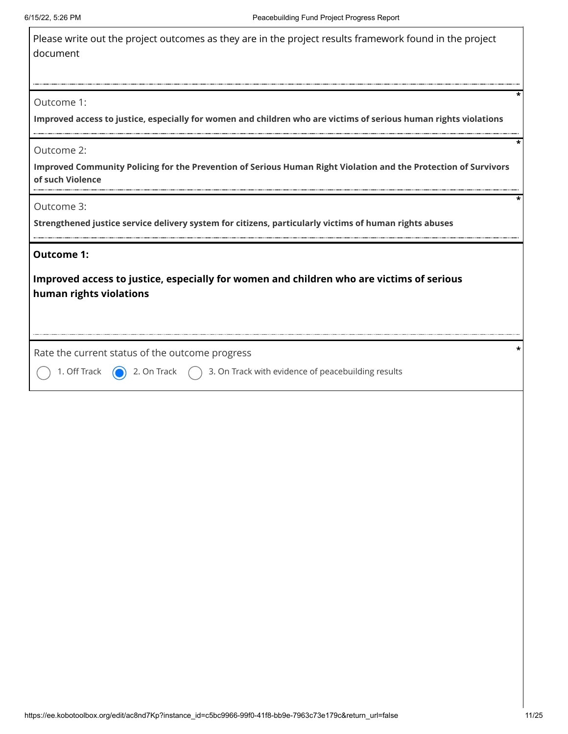| Please write out the project outcomes as they are in the project results framework found in the project |  |
|---------------------------------------------------------------------------------------------------------|--|
| document                                                                                                |  |

#### Outcome 1:

**Improved access to justice, especially for women and children who are victims of serious human rights violations**

Outcome 2:

**Improved Community Policing for the Prevention of Serious Human Right Violation and the Protection of Survivors of such Violence**

Outcome 3:

**Strengthened justice service delivery system for citizens, particularly victims of human rights abuses**

#### **Outcome 1:**

**Improved access to justice, especially for women and children who are victims of serious human rights violations**

Rate the current status of the outcome progress **\***

1. Off Track  $\bigcirc$  2. On Track  $\bigcirc$  3. On Track with evidence of peacebuilding results

**\***

**\***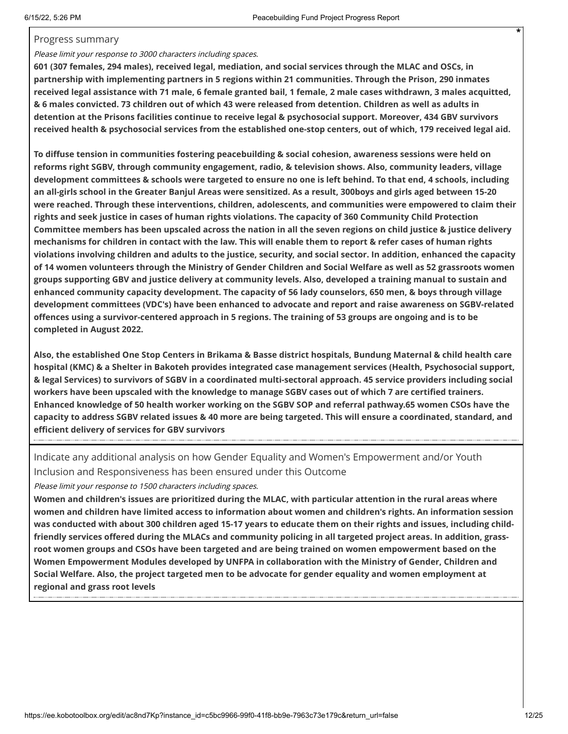#### Progress summary

#### Please limit your response to 3000 characters including spaces.

**601 (307 females, 294 males), received legal, mediation, and social services through the MLAC and OSCs, in partnership with implementing partners in 5 regions within 21 communities. Through the Prison, 290 inmates received legal assistance with 71 male, 6 female granted bail, 1 female, 2 male cases withdrawn, 3 males acquitted, & 6 males convicted. 73 children out of which 43 were released from detention. Children as well as adults in detention at the Prisons facilities continue to receive legal & psychosocial support. Moreover, 434 GBV survivors received health & psychosocial services from the established one-stop centers, out of which, 179 received legal aid.** 

**To diffuse tension in communities fostering peacebuilding & social cohesion, awareness sessions were held on reforms right SGBV, through community engagement, radio, & television shows. Also, community leaders, village development committees & schools were targeted to ensure no one is left behind. To that end, 4 schools, including an all-girls school in the Greater Banjul Areas were sensitized. As a result, 300boys and girls aged between 15-20 were reached. Through these interventions, children, adolescents, and communities were empowered to claim their rights and seek justice in cases of human rights violations. The capacity of 360 Community Child Protection Committee members has been upscaled across the nation in all the seven regions on child justice & justice delivery mechanisms for children in contact with the law. This will enable them to report & refer cases of human rights violations involving children and adults to the justice, security, and social sector. In addition, enhanced the capacity of 14 women volunteers through the Ministry of Gender Children and Social Welfare as well as 52 grassroots women groups supporting GBV and justice delivery at community levels. Also, developed a training manual to sustain and enhanced community capacity development. The capacity of 56 lady counselors, 650 men, & boys through village development committees (VDC's) have been enhanced to advocate and report and raise awareness on SGBV-related offences using a survivor-centered approach in 5 regions. The training of 53 groups are ongoing and is to be completed in August 2022.**

**Also, the established One Stop Centers in Brikama & Basse district hospitals, Bundung Maternal & child health care hospital (KMC) & a Shelter in Bakoteh provides integrated case management services (Health, Psychosocial support, & legal Services) to survivors of SGBV in a coordinated multi-sectoral approach. 45 service providers including social workers have been upscaled with the knowledge to manage SGBV cases out of which 7 are certified trainers. Enhanced knowledge of 50 health worker working on the SGBV SOP and referral pathway.65 women CSOs have the capacity to address SGBV related issues & 40 more are being targeted. This will ensure a coordinated, standard, and efficient delivery of services for GBV survivors**

Indicate any additional analysis on how Gender Equality and Women's Empowerment and/or Youth Inclusion and Responsiveness has been ensured under this Outcome

Please limit your response to 1500 characters including spaces.

**Women and children's issues are prioritized during the MLAC, with particular attention in the rural areas where women and children have limited access to information about women and children's rights. An information session was conducted with about 300 children aged 15-17 years to educate them on their rights and issues, including childfriendly services offered during the MLACs and community policing in all targeted project areas. In addition, grassroot women groups and CSOs have been targeted and are being trained on women empowerment based on the Women Empowerment Modules developed by UNFPA in collaboration with the Ministry of Gender, Children and Social Welfare. Also, the project targeted men to be advocate for gender equality and women employment at regional and grass root levels**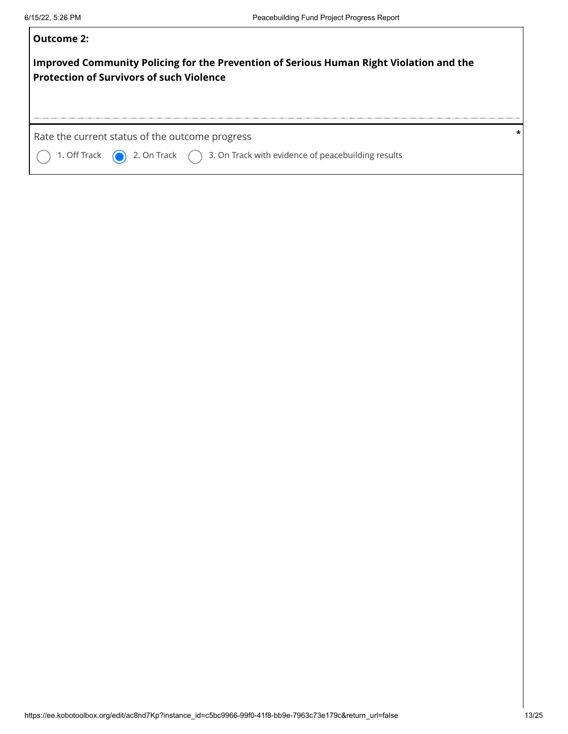| Outcome 2:                                                                                                                                           |
|------------------------------------------------------------------------------------------------------------------------------------------------------|
| Improved Community Policing for the Prevention of Serious Human Right Violation and the<br><b>Protection of Survivors of such Violence</b>           |
| Rate the current status of the outcome progress<br>1. Off Track $\bigcirc$ 2. On Track $\bigcirc$ 3. On Track with evidence of peacebuilding results |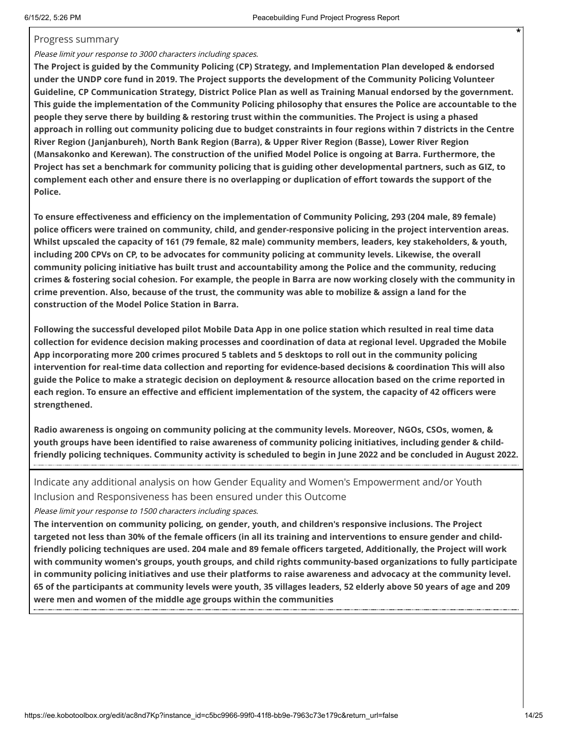#### Progress summary

#### Please limit your response to 3000 characters including spaces.

**The Project is guided by the Community Policing (CP) Strategy, and Implementation Plan developed & endorsed under the UNDP core fund in 2019. The Project supports the development of the Community Policing Volunteer Guideline, CP Communication Strategy, District Police Plan as well as Training Manual endorsed by the government. This guide the implementation of the Community Policing philosophy that ensures the Police are accountable to the people they serve there by building & restoring trust within the communities. The Project is using a phased approach in rolling out community policing due to budget constraints in four regions within 7 districts in the Centre River Region (Janjanbureh), North Bank Region (Barra), & Upper River Region (Basse), Lower River Region (Mansakonko and Kerewan). The construction of the unified Model Police is ongoing at Barra. Furthermore, the Project has set a benchmark for community policing that is guiding other developmental partners, such as GIZ, to complement each other and ensure there is no overlapping or duplication of effort towards the support of the Police.**

**To ensure effectiveness and efficiency on the implementation of Community Policing, 293 (204 male, 89 female) police officers were trained on community, child, and gender-responsive policing in the project intervention areas. Whilst upscaled the capacity of 161 (79 female, 82 male) community members, leaders, key stakeholders, & youth, including 200 CPVs on CP, to be advocates for community policing at community levels. Likewise, the overall community policing initiative has built trust and accountability among the Police and the community, reducing crimes & fostering social cohesion. For example, the people in Barra are now working closely with the community in crime prevention. Also, because of the trust, the community was able to mobilize & assign a land for the construction of the Model Police Station in Barra.**

**Following the successful developed pilot Mobile Data App in one police station which resulted in real time data collection for evidence decision making processes and coordination of data at regional level. Upgraded the Mobile App incorporating more 200 crimes procured 5 tablets and 5 desktops to roll out in the community policing intervention for real-time data collection and reporting for evidence-based decisions & coordination This will also guide the Police to make a strategic decision on deployment & resource allocation based on the crime reported in each region. To ensure an effective and efficient implementation of the system, the capacity of 42 officers were strengthened.** 

**Radio awareness is ongoing on community policing at the community levels. Moreover, NGOs, CSOs, women, & youth groups have been identified to raise awareness of community policing initiatives, including gender & childfriendly policing techniques. Community activity is scheduled to begin in June 2022 and be concluded in August 2022.**

Indicate any additional analysis on how Gender Equality and Women's Empowerment and/or Youth Inclusion and Responsiveness has been ensured under this Outcome

Please limit your response to 1500 characters including spaces.

**The intervention on community policing, on gender, youth, and children's responsive inclusions. The Project targeted not less than 30% of the female officers (in all its training and interventions to ensure gender and childfriendly policing techniques are used. 204 male and 89 female officers targeted, Additionally, the Project will work with community women's groups, youth groups, and child rights community-based organizations to fully participate in community policing initiatives and use their platforms to raise awareness and advocacy at the community level. 65 of the participants at community levels were youth, 35 villages leaders, 52 elderly above 50 years of age and 209 were men and women of the middle age groups within the communities**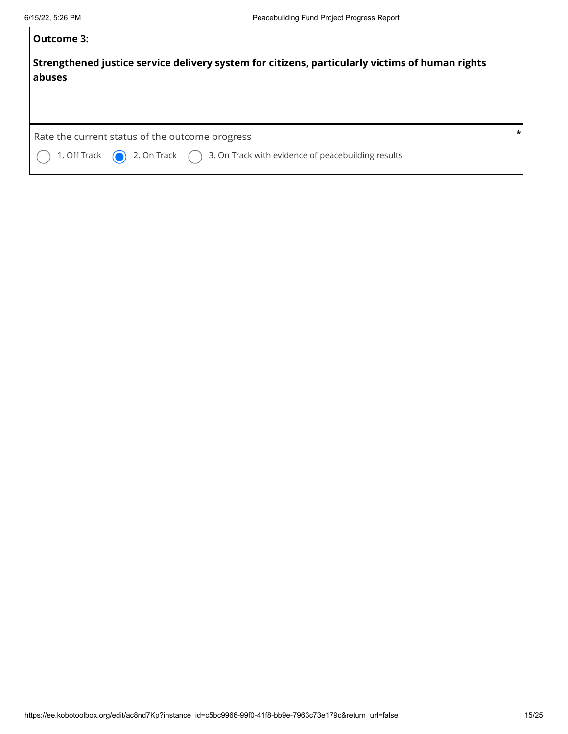| Outcome 3:                                                                                                                                           |         |
|------------------------------------------------------------------------------------------------------------------------------------------------------|---------|
| Strengthened justice service delivery system for citizens, particularly victims of human rights<br>abuses                                            |         |
| Rate the current status of the outcome progress<br>1. Off Track $\bigcirc$ 2. On Track $\bigcirc$ 3. On Track with evidence of peacebuilding results | $\star$ |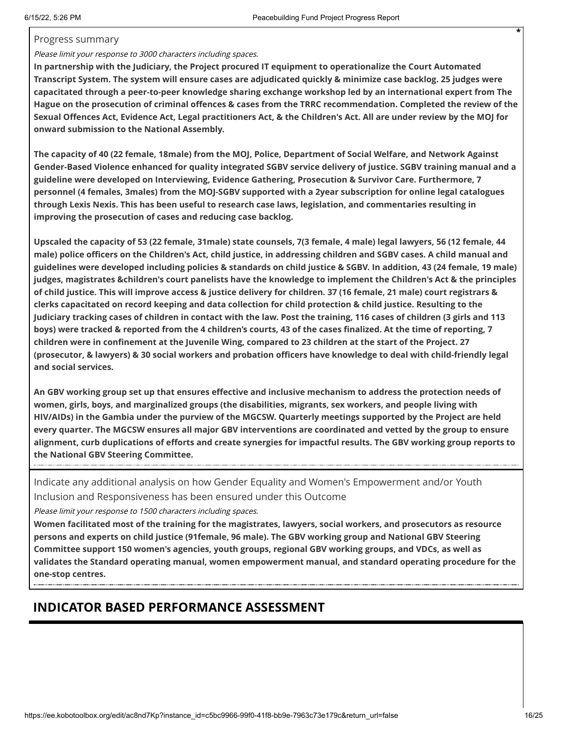#### Progress summary

#### Please limit your response to 3000 characters including spaces.

**In partnership with the Judiciary, the Project procured IT equipment to operationalize the Court Automated Transcript System. The system will ensure cases are adjudicated quickly & minimize case backlog. 25 judges were capacitated through a peer-to-peer knowledge sharing exchange workshop led by an international expert from The Hague on the prosecution of criminal offences & cases from the TRRC recommendation. Completed the review of the Sexual Offences Act, Evidence Act, Legal practitioners Act, & the Children's Act. All are under review by the MOJ for onward submission to the National Assembly.**

**The capacity of 40 (22 female, 18male) from the MOJ, Police, Department of Social Welfare, and Network Against Gender-Based Violence enhanced for quality integrated SGBV service delivery of justice. SGBV training manual and a guideline were developed on Interviewing, Evidence Gathering, Prosecution & Survivor Care. Furthermore, 7 personnel (4 females, 3males) from the MOJ-SGBV supported with a 2year subscription for online legal catalogues through Lexis Nexis. This has been useful to research case laws, legislation, and commentaries resulting in improving the prosecution of cases and reducing case backlog.** 

**Upscaled the capacity of 53 (22 female, 31male) state counsels, 7(3 female, 4 male) legal lawyers, 56 (12 female, 44 male) police officers on the Children's Act, child justice, in addressing children and SGBV cases. A child manual and guidelines were developed including policies & standards on child justice & SGBV. In addition, 43 (24 female, 19 male) judges, magistrates &children's court panelists have the knowledge to implement the Children's Act & the principles of child justice. This will improve access & justice delivery for children. 37 (16 female, 21 male) court registrars & clerks capacitated on record keeping and data collection for child protection & child justice. Resulting to the Judiciary tracking cases of children in contact with the law. Post the training, 116 cases of children (3 girls and 113 boys) were tracked & reported from the 4 children's courts, 43 of the cases finalized. At the time of reporting, 7 children were in confinement at the Juvenile Wing, compared to 23 children at the start of the Project. 27 (prosecutor, & lawyers) & 30 social workers and probation officers have knowledge to deal with child-friendly legal and social services.** 

**An GBV working group set up that ensures effective and inclusive mechanism to address the protection needs of women, girls, boys, and marginalized groups (the disabilities, migrants, sex workers, and people living with HIV/AIDs) in the Gambia under the purview of the MGCSW. Quarterly meetings supported by the Project are held every quarter. The MGCSW ensures all major GBV interventions are coordinated and vetted by the group to ensure alignment, curb duplications of efforts and create synergies for impactful results. The GBV working group reports to the National GBV Steering Committee.**

Indicate any additional analysis on how Gender Equality and Women's Empowerment and/or Youth Inclusion and Responsiveness has been ensured under this Outcome

Please limit your response to 1500 characters including spaces.

**Women facilitated most of the training for the magistrates, lawyers, social workers, and prosecutors as resource persons and experts on child justice (91female, 96 male). The GBV working group and National GBV Steering Committee support 150 women's agencies, youth groups, regional GBV working groups, and VDCs, as well as validates the Standard operating manual, women empowerment manual, and standard operating procedure for the one-stop centres.**

## **INDICATOR BASED PERFORMANCE ASSESSMENT**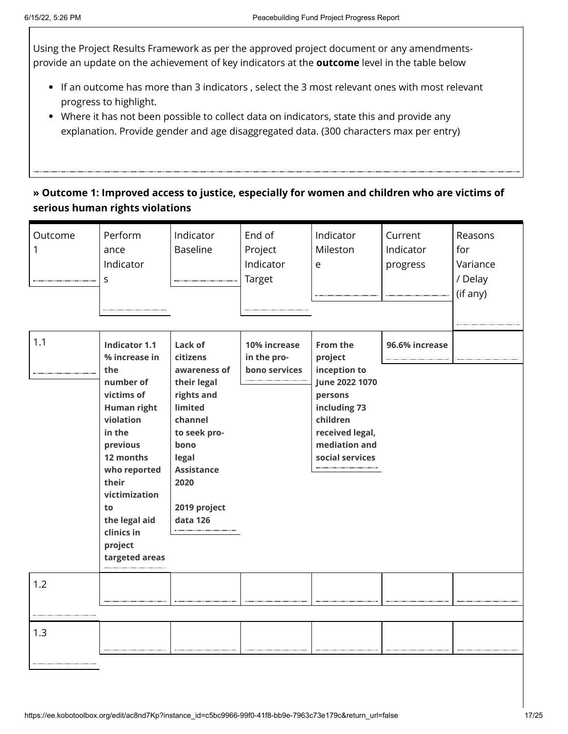Using the Project Results Framework as per the approved project document or any amendmentsprovide an update on the achievement of key indicators at the **outcome** level in the table below

- If an outcome has more than 3 indicators , select the 3 most relevant ones with most relevant progress to highlight.
- Where it has not been possible to collect data on indicators, state this and provide any explanation. Provide gender and age disaggregated data. (300 characters max per entry)

### **» Outcome 1: Improved access to justice, especially for women and children who are victims of serious human rights violations**

| Outcome<br>1 | Perform<br>ance<br>Indicator<br>S                                                                                                                                                                                                                         | Indicator<br><b>Baseline</b>                                                                                                                                                     | End of<br>Project<br>Indicator<br>Target     | Indicator<br>Mileston<br>e                                                                                                                          | Current<br>Indicator<br>progress | Reasons<br>for<br>Variance<br>/ Delay<br>(if any) |
|--------------|-----------------------------------------------------------------------------------------------------------------------------------------------------------------------------------------------------------------------------------------------------------|----------------------------------------------------------------------------------------------------------------------------------------------------------------------------------|----------------------------------------------|-----------------------------------------------------------------------------------------------------------------------------------------------------|----------------------------------|---------------------------------------------------|
| 1.1          | <b>Indicator 1.1</b><br>% increase in<br>the<br>number of<br>victims of<br><b>Human right</b><br>violation<br>in the<br>previous<br>12 months<br>who reported<br>their<br>victimization<br>to<br>the legal aid<br>clinics in<br>project<br>targeted areas | Lack of<br>citizens<br>awareness of<br>their legal<br>rights and<br>limited<br>channel<br>to seek pro-<br>bono<br>legal<br><b>Assistance</b><br>2020<br>2019 project<br>data 126 | 10% increase<br>in the pro-<br>bono services | From the<br>project<br>inception to<br>June 2022 1070<br>persons<br>including 73<br>children<br>received legal,<br>mediation and<br>social services | 96.6% increase                   |                                                   |
| 1.2          |                                                                                                                                                                                                                                                           |                                                                                                                                                                                  |                                              |                                                                                                                                                     |                                  |                                                   |
| 1.3          |                                                                                                                                                                                                                                                           |                                                                                                                                                                                  |                                              |                                                                                                                                                     |                                  |                                                   |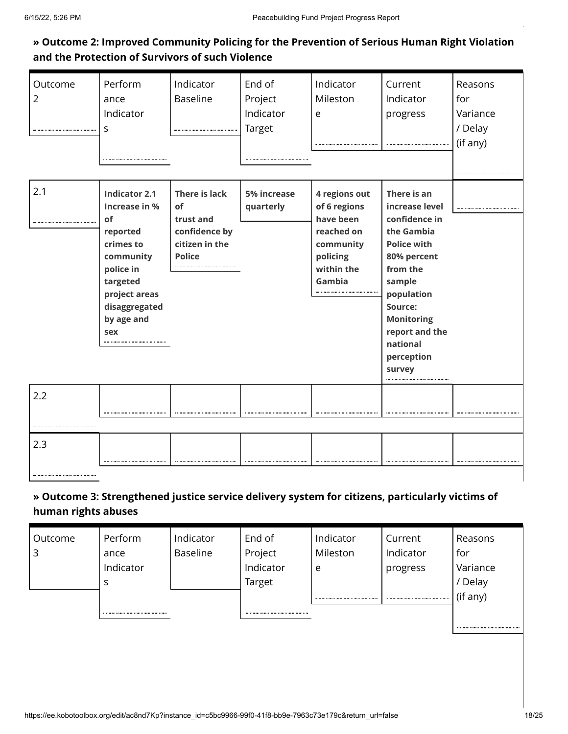### **» Outcome 2: Improved Community Policing for the Prevention of Serious Human Right Violation and the Protection of Survivors of such Violence**

| Outcome<br>$\overline{2}$ | Perform<br>ance<br>Indicator<br>S                                                                                                                                 | Indicator<br><b>Baseline</b><br>                                                            | End of<br>Project<br>Indicator<br>Target | Indicator<br>Mileston<br>e                                                                                | Current<br>Indicator<br>progress                                                                                                                                                                                            | Reasons<br>for<br>Variance<br>/ Delay<br>(if any) |
|---------------------------|-------------------------------------------------------------------------------------------------------------------------------------------------------------------|---------------------------------------------------------------------------------------------|------------------------------------------|-----------------------------------------------------------------------------------------------------------|-----------------------------------------------------------------------------------------------------------------------------------------------------------------------------------------------------------------------------|---------------------------------------------------|
| 2.1                       | <b>Indicator 2.1</b><br>Increase in %<br>of<br>reported<br>crimes to<br>community<br>police in<br>targeted<br>project areas<br>disaggregated<br>by age and<br>sex | <b>There is lack</b><br>of<br>trust and<br>confidence by<br>citizen in the<br><b>Police</b> | 5% increase<br>quarterly                 | 4 regions out<br>of 6 regions<br>have been<br>reached on<br>community<br>policing<br>within the<br>Gambia | There is an<br>increase level<br>confidence in<br>the Gambia<br><b>Police with</b><br>80% percent<br>from the<br>sample<br>population<br>Source:<br><b>Monitoring</b><br>report and the<br>national<br>perception<br>survey |                                                   |
| 2.2                       |                                                                                                                                                                   |                                                                                             |                                          |                                                                                                           |                                                                                                                                                                                                                             |                                                   |
| 2.3                       |                                                                                                                                                                   |                                                                                             |                                          |                                                                                                           |                                                                                                                                                                                                                             |                                                   |

### **» Outcome 3: Strengthened justice service delivery system for citizens, particularly victims of human rights abuses**

| Perform   | Indicator | End of    | Indicator | Current   | Reasons  |
|-----------|-----------|-----------|-----------|-----------|----------|
| ance      | Baseline  | Project   | Mileston  | Indicator | for      |
| Indicator |           | Indicator | e         | progress  | Variance |
|           |           | Target    |           |           | ' Delay  |
|           |           |           |           |           | (if any) |
|           |           |           |           |           |          |
|           |           |           |           |           |          |

................................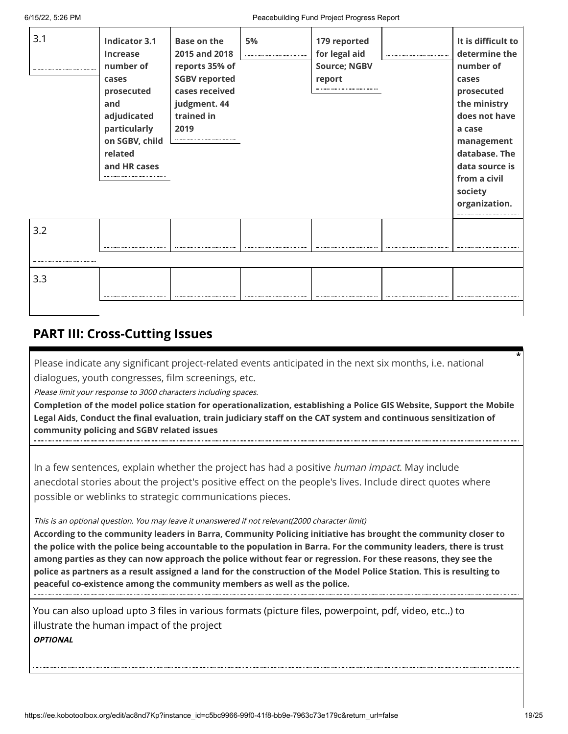| 3.1 | <b>Indicator 3.1</b><br><b>Increase</b><br>number of<br>cases<br>prosecuted<br>and<br>adjudicated<br>particularly<br>on SGBV, child<br>related<br>and HR cases | <b>Base on the</b><br>2015 and 2018<br>reports 35% of<br><b>SGBV reported</b><br>cases received<br>judgment. 44<br>trained in<br>2019 | 5% | 179 reported<br>for legal aid<br><b>Source; NGBV</b><br>report | It is difficult to<br>determine the<br>number of<br>cases<br>prosecuted<br>the ministry<br>does not have<br>a case<br>management<br>database. The<br>data source is<br>from a civil<br>society<br>organization. |
|-----|----------------------------------------------------------------------------------------------------------------------------------------------------------------|---------------------------------------------------------------------------------------------------------------------------------------|----|----------------------------------------------------------------|-----------------------------------------------------------------------------------------------------------------------------------------------------------------------------------------------------------------|
| 3.2 |                                                                                                                                                                |                                                                                                                                       |    |                                                                |                                                                                                                                                                                                                 |
|     |                                                                                                                                                                |                                                                                                                                       |    |                                                                |                                                                                                                                                                                                                 |
| 3.3 |                                                                                                                                                                |                                                                                                                                       |    |                                                                |                                                                                                                                                                                                                 |

## **PART III: Cross-Cutting Issues**

Please indicate any significant project-related events anticipated in the next six months, i.e. national dialogues, youth congresses, film screenings, etc.

Please limit your response to 3000 characters including spaces.

**Completion of the model police station for operationalization, establishing a Police GIS Website, Support the Mobile Legal Aids, Conduct the final evaluation, train judiciary staff on the CAT system and continuous sensitization of community policing and SGBV related issues**

In a few sentences, explain whether the project has had a positive *human impact*. May include anecdotal stories about the project's positive effect on the people's lives. Include direct quotes where possible or weblinks to strategic communications pieces.

This is an optional question. You may leave it unanswered if not relevant(2000 character limit)

**According to the community leaders in Barra, Community Policing initiative has brought the community closer to the police with the police being accountable to the population in Barra. For the community leaders, there is trust among parties as they can now approach the police without fear or regression. For these reasons, they see the police as partners as a result assigned a land for the construction of the Model Police Station. This is resulting to peaceful co-existence among the community members as well as the police.**

You can also upload upto 3 files in various formats (picture files, powerpoint, pdf, video, etc..) to illustrate the human impact of the project **OPTIONAL**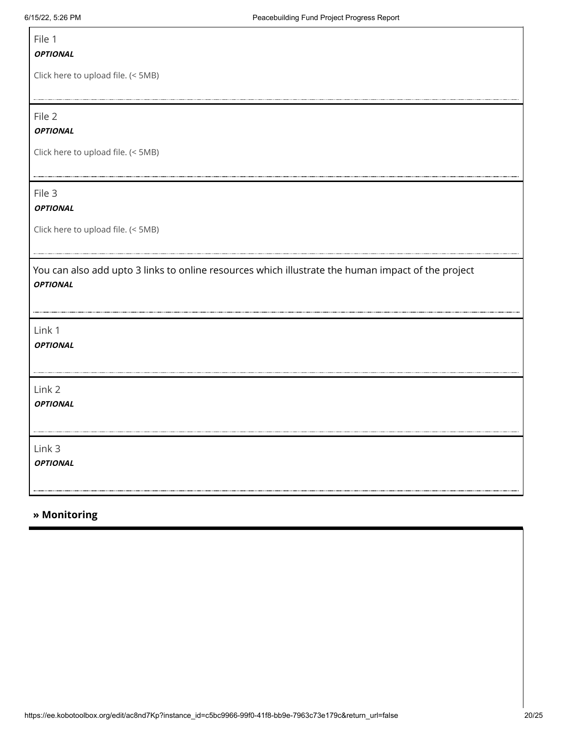$\Gamma$ 

| File 1                                                                                                                |
|-----------------------------------------------------------------------------------------------------------------------|
| <b>OPTIONAL</b>                                                                                                       |
| Click here to upload file. (< 5MB)                                                                                    |
| File 2                                                                                                                |
| <b>OPTIONAL</b>                                                                                                       |
| Click here to upload file. (< 5MB)                                                                                    |
| File 3<br><b>OPTIONAL</b>                                                                                             |
| Click here to upload file. (< 5MB)                                                                                    |
| You can also add upto 3 links to online resources which illustrate the human impact of the project<br><b>OPTIONAL</b> |
|                                                                                                                       |
| Link 1<br><b>OPTIONAL</b>                                                                                             |
| Link 2<br><b>OPTIONAL</b>                                                                                             |
| Link 3<br><b>OPTIONAL</b>                                                                                             |

### **» Monitoring**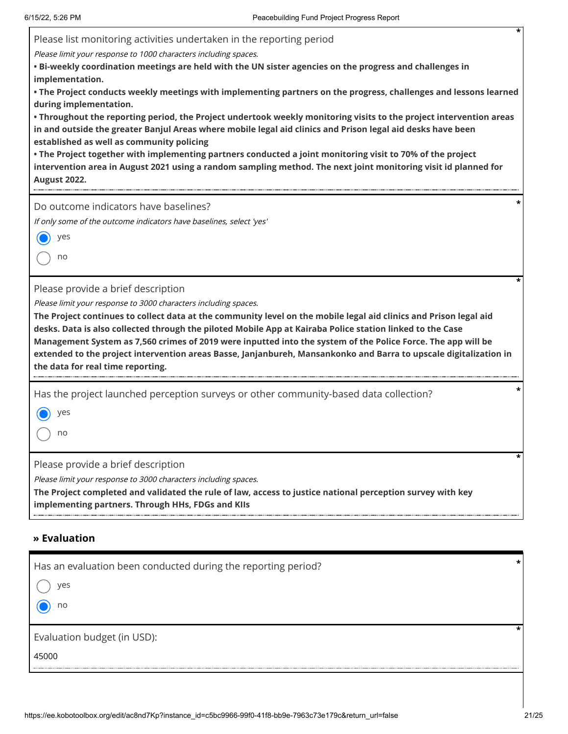| *<br>Please list monitoring activities undertaken in the reporting period<br>Please limit your response to 1000 characters including spaces.<br>. Bi-weekly coordination meetings are held with the UN sister agencies on the progress and challenges in<br>implementation.<br>• The Project conducts weekly meetings with implementing partners on the progress, challenges and lessons learned<br>during implementation.<br>. Throughout the reporting period, the Project undertook weekly monitoring visits to the project intervention areas<br>in and outside the greater Banjul Areas where mobile legal aid clinics and Prison legal aid desks have been<br>established as well as community policing<br>• The Project together with implementing partners conducted a joint monitoring visit to 70% of the project<br>intervention area in August 2021 using a random sampling method. The next joint monitoring visit id planned for<br><b>August 2022.</b> |
|-----------------------------------------------------------------------------------------------------------------------------------------------------------------------------------------------------------------------------------------------------------------------------------------------------------------------------------------------------------------------------------------------------------------------------------------------------------------------------------------------------------------------------------------------------------------------------------------------------------------------------------------------------------------------------------------------------------------------------------------------------------------------------------------------------------------------------------------------------------------------------------------------------------------------------------------------------------------------|
| Do outcome indicators have baselines?<br>If only some of the outcome indicators have baselines, select 'yes'<br>yes<br>no                                                                                                                                                                                                                                                                                                                                                                                                                                                                                                                                                                                                                                                                                                                                                                                                                                             |
| Please provide a brief description<br>Please limit your response to 3000 characters including spaces.<br>The Project continues to collect data at the community level on the mobile legal aid clinics and Prison legal aid<br>desks. Data is also collected through the piloted Mobile App at Kairaba Police station linked to the Case<br>Management System as 7,560 crimes of 2019 were inputted into the system of the Police Force. The app will be<br>extended to the project intervention areas Basse, Janjanbureh, Mansankonko and Barra to upscale digitalization in<br>the data for real time reporting.                                                                                                                                                                                                                                                                                                                                                     |
| Has the project launched perception surveys or other community-based data collection?<br>yes<br>no                                                                                                                                                                                                                                                                                                                                                                                                                                                                                                                                                                                                                                                                                                                                                                                                                                                                    |
| *<br>Please provide a brief description<br>Please limit your response to 3000 characters including spaces.<br>The Project completed and validated the rule of law, access to justice national perception survey with key<br>implementing partners. Through HHs, FDGs and KIIs                                                                                                                                                                                                                                                                                                                                                                                                                                                                                                                                                                                                                                                                                         |

### **» Evaluation**

| Has an evaluation been conducted during the reporting period? |  |
|---------------------------------------------------------------|--|
| ves                                                           |  |
| no                                                            |  |
| Evaluation budget (in USD):                                   |  |
| 45000                                                         |  |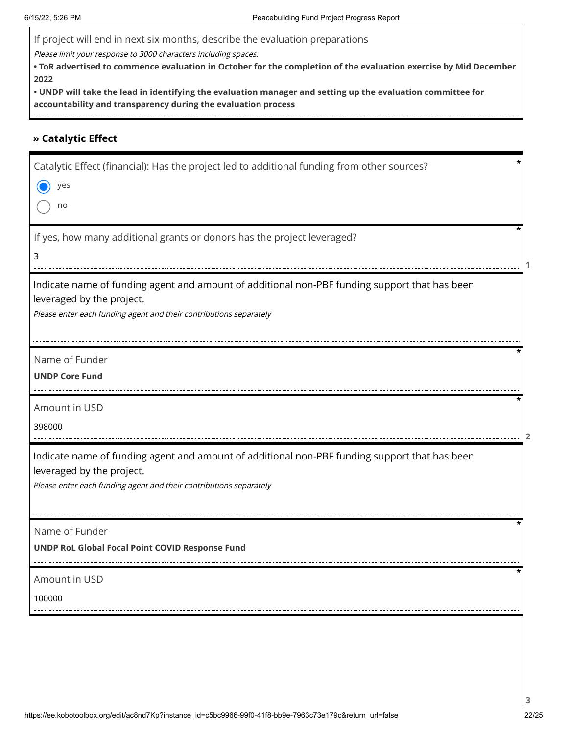If project will end in next six months, describe the evaluation preparations

Please limit your response to 3000 characters including spaces.

**• ToR advertised to commence evaluation in October for the completion of the evaluation exercise by Mid December 2022**

**• UNDP will take the lead in identifying the evaluation manager and setting up the evaluation committee for accountability and transparency during the evaluation process**

#### **» Catalytic Effect**

| Catalytic Effect (financial): Has the project led to additional funding from other sources?<br>yes<br>no<br>If yes, how many additional grants or donors has the project leveraged?<br>3         |  |
|--------------------------------------------------------------------------------------------------------------------------------------------------------------------------------------------------|--|
| Indicate name of funding agent and amount of additional non-PBF funding support that has been<br>leveraged by the project.<br>Please enter each funding agent and their contributions separately |  |
| Name of Funder<br><b>UNDP Core Fund</b>                                                                                                                                                          |  |
| Amount in USD<br>398000                                                                                                                                                                          |  |
| Indicate name of funding agent and amount of additional non-PBF funding support that has been<br>leveraged by the project.<br>Please enter each funding agent and their contributions separately |  |
| Name of Funder<br>UNDP RoL Global Focal Point COVID Response Fund                                                                                                                                |  |
| Amount in USD<br>100000                                                                                                                                                                          |  |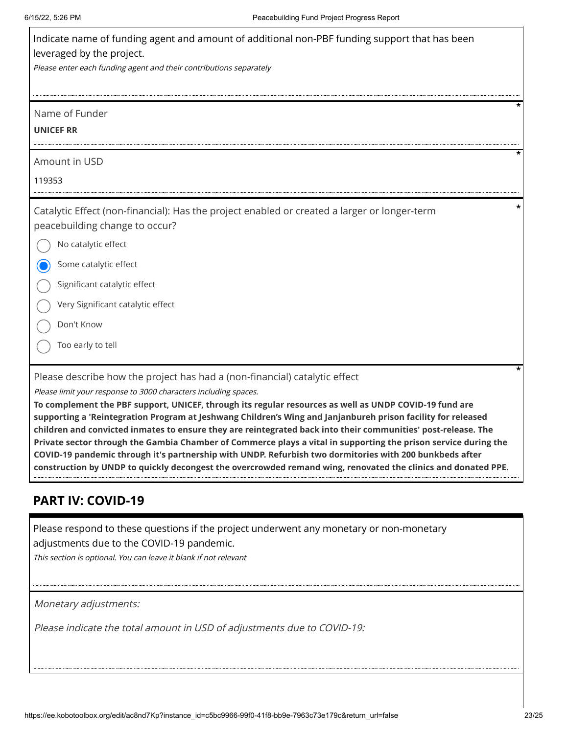| Indicate name of funding agent and amount of additional non-PBF funding support that has been<br>leveraged by the project.                                                                                                       |
|----------------------------------------------------------------------------------------------------------------------------------------------------------------------------------------------------------------------------------|
| Please enter each funding agent and their contributions separately                                                                                                                                                               |
| Name of Funder<br><b>UNICEF RR</b>                                                                                                                                                                                               |
| Amount in USD                                                                                                                                                                                                                    |
| 119353                                                                                                                                                                                                                           |
| Catalytic Effect (non-financial): Has the project enabled or created a larger or longer-term<br>peacebuilding change to occur?                                                                                                   |
| No catalytic effect                                                                                                                                                                                                              |
| Some catalytic effect                                                                                                                                                                                                            |
| Significant catalytic effect                                                                                                                                                                                                     |
| Very Significant catalytic effect                                                                                                                                                                                                |
| Don't Know                                                                                                                                                                                                                       |
| Too early to tell                                                                                                                                                                                                                |
| Please describe how the project has had a (non-financial) catalytic effect                                                                                                                                                       |
| Please limit your response to 3000 characters including spaces.                                                                                                                                                                  |
| To complement the PBF support, UNICEF, through its regular resources as well as UNDP COVID-19 fund are<br>supporting a 'Reintegration Program at Jeshwang Children's Wing and Janjanbureh prison facility for released           |
| children and convicted inmates to ensure they are reintegrated back into their communities' post-release. The<br>Private sector through the Gambia Chamber of Commerce plays a vital in supporting the prison service during the |

### **PART IV: COVID-19**

Please respond to these questions if the project underwent any monetary or non-monetary adjustments due to the COVID-19 pandemic.

**COVID-19 pandemic through it's partnership with UNDP. Refurbish two dormitories with 200 bunkbeds after construction by UNDP to quickly decongest the overcrowded remand wing, renovated the clinics and donated PPE.**

This section is optional. You can leave it blank if not relevant

Monetary adjustments:

Please indicate the total amount in USD of adjustments due to COVID-19: